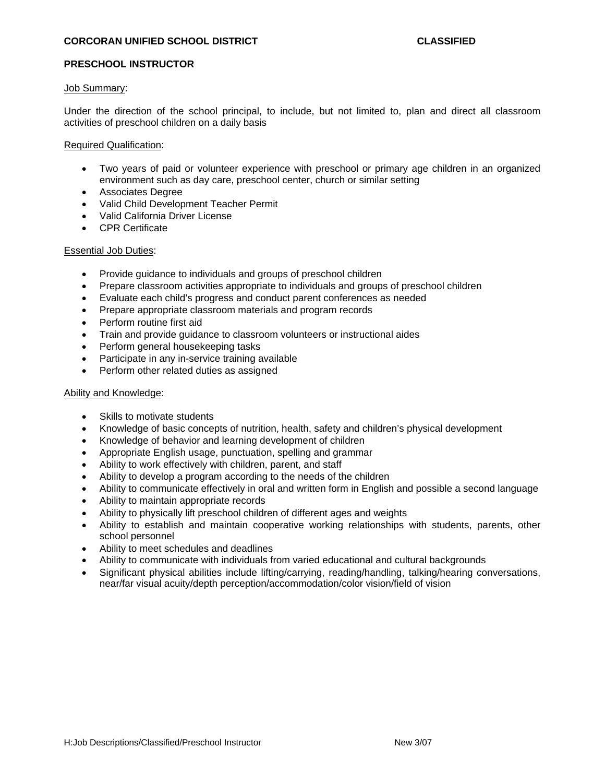# **PRESCHOOL INSTRUCTOR**

#### Job Summary:

Under the direction of the school principal, to include, but not limited to, plan and direct all classroom activities of preschool children on a daily basis

### Required Qualification:

- Two years of paid or volunteer experience with preschool or primary age children in an organized environment such as day care, preschool center, church or similar setting
- Associates Degree
- Valid Child Development Teacher Permit
- Valid California Driver License
- CPR Certificate

# Essential Job Duties:

- Provide guidance to individuals and groups of preschool children
- Prepare classroom activities appropriate to individuals and groups of preschool children
- Evaluate each child's progress and conduct parent conferences as needed
- Prepare appropriate classroom materials and program records
- Perform routine first aid
- Train and provide guidance to classroom volunteers or instructional aides
- Perform general housekeeping tasks
- Participate in any in-service training available
- Perform other related duties as assigned

### Ability and Knowledge:

- Skills to motivate students
- Knowledge of basic concepts of nutrition, health, safety and children's physical development
- Knowledge of behavior and learning development of children
- Appropriate English usage, punctuation, spelling and grammar
- Ability to work effectively with children, parent, and staff
- Ability to develop a program according to the needs of the children
- Ability to communicate effectively in oral and written form in English and possible a second language
- Ability to maintain appropriate records
- Ability to physically lift preschool children of different ages and weights
- Ability to establish and maintain cooperative working relationships with students, parents, other school personnel
- Ability to meet schedules and deadlines
- Ability to communicate with individuals from varied educational and cultural backgrounds
- Significant physical abilities include lifting/carrying, reading/handling, talking/hearing conversations, near/far visual acuity/depth perception/accommodation/color vision/field of vision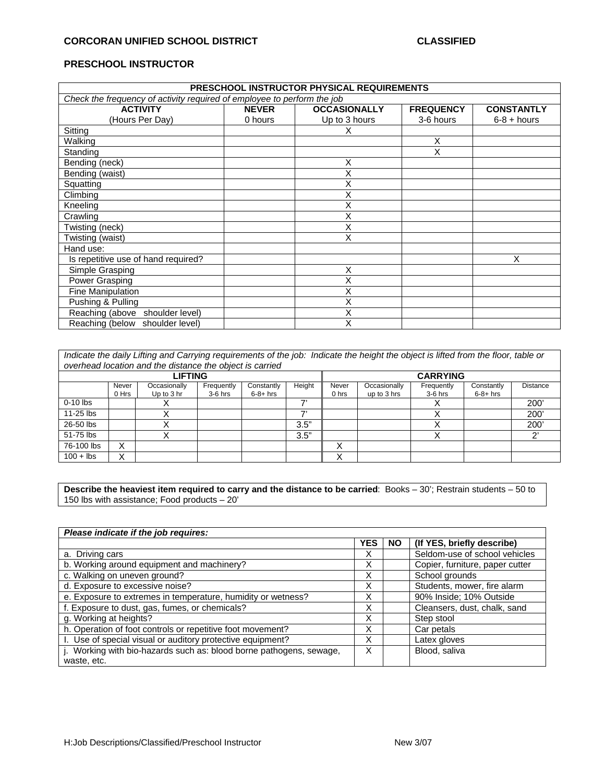# **PRESCHOOL INSTRUCTOR**

| PRESCHOOL INSTRUCTOR PHYSICAL REQUIREMENTS                              |              |                     |                  |                   |  |  |  |
|-------------------------------------------------------------------------|--------------|---------------------|------------------|-------------------|--|--|--|
| Check the frequency of activity required of employee to perform the job |              |                     |                  |                   |  |  |  |
| <b>ACTIVITY</b>                                                         | <b>NEVER</b> | <b>OCCASIONALLY</b> | <b>FREQUENCY</b> | <b>CONSTANTLY</b> |  |  |  |
| (Hours Per Day)                                                         | 0 hours      | Up to 3 hours       | 3-6 hours        | $6-8 + hours$     |  |  |  |
| Sitting                                                                 |              | х                   |                  |                   |  |  |  |
| Walking                                                                 |              |                     | X                |                   |  |  |  |
| Standing                                                                |              |                     | X                |                   |  |  |  |
| Bending (neck)                                                          |              | Χ                   |                  |                   |  |  |  |
| Bending (waist)                                                         |              | Χ                   |                  |                   |  |  |  |
| Squatting                                                               |              | Χ                   |                  |                   |  |  |  |
| Climbing                                                                |              | Χ                   |                  |                   |  |  |  |
| Kneeling                                                                |              | Χ                   |                  |                   |  |  |  |
| Crawling                                                                |              | Χ                   |                  |                   |  |  |  |
| Twisting (neck)                                                         |              | Χ                   |                  |                   |  |  |  |
| Twisting (waist)                                                        |              | X                   |                  |                   |  |  |  |
| Hand use:                                                               |              |                     |                  |                   |  |  |  |
| Is repetitive use of hand required?                                     |              |                     |                  | Χ                 |  |  |  |
| Simple Grasping                                                         |              | X                   |                  |                   |  |  |  |
| Power Grasping                                                          |              | Χ                   |                  |                   |  |  |  |
| Fine Manipulation                                                       |              | Χ                   |                  |                   |  |  |  |
| Pushing & Pulling                                                       |              | Χ                   |                  |                   |  |  |  |
| Reaching (above<br>shoulder level)                                      |              | Χ                   |                  |                   |  |  |  |
| Reaching (below shoulder level)                                         |              | X                   |                  |                   |  |  |  |

*Indicate the daily Lifting and Carrying requirements of the job: Indicate the height the object is lifted from the floor, table or overhead location and the distance the object is carried* 

|                | oromoda loodilon dha ino diolanoo ino objool lo odmod |              |            |                 |        |                  |              |            |            |                 |
|----------------|-------------------------------------------------------|--------------|------------|-----------------|--------|------------------|--------------|------------|------------|-----------------|
| <b>LIFTING</b> |                                                       |              |            | <b>CARRYING</b> |        |                  |              |            |            |                 |
|                | Never                                                 | Occasionally | Frequently | Constantly      | Height | Never            | Occasionally | Frequently | Constantly | <b>Distance</b> |
|                | 0 Hrs                                                 | Up to 3 hr   | $3-6$ hrs  | $6-8+$ hrs      |        | 0 <sub>hrs</sub> | up to 3 hrs  | $3-6$ hrs  | $6-8+$ hrs |                 |
| $0-10$ lbs     |                                                       |              |            |                 | 71     |                  |              |            |            | <b>200</b>      |
| 11-25 lbs      |                                                       |              |            |                 | –,     |                  |              |            |            | $200^{\circ}$   |
| 26-50 lbs      |                                                       | "            |            |                 | 3.5"   |                  |              |            |            | 200             |
| 51-75 lbs      |                                                       |              |            |                 | 3.5"   |                  |              |            |            | $\sim$          |
| 76-100 lbs     | $\checkmark$<br>∧                                     |              |            |                 |        | $\lambda$        |              |            |            |                 |
| $100 +$ lbs    | v<br>∧                                                |              |            |                 |        | . .              |              |            |            |                 |

**Describe the heaviest item required to carry and the distance to be carried**: Books – 30'; Restrain students – 50 to 150 lbs with assistance; Food products – 20'

| Please indicate if the job requires:                                |            |           |                                 |
|---------------------------------------------------------------------|------------|-----------|---------------------------------|
|                                                                     | <b>YES</b> | <b>NO</b> | (If YES, briefly describe)      |
| a. Driving cars                                                     | х          |           | Seldom-use of school vehicles   |
| b. Working around equipment and machinery?                          | X          |           | Copier, furniture, paper cutter |
| c. Walking on uneven ground?                                        | X          |           | School grounds                  |
| d. Exposure to excessive noise?                                     | х          |           | Students, mower, fire alarm     |
| e. Exposure to extremes in temperature, humidity or wetness?        | х          |           | 90% Inside; 10% Outside         |
| f. Exposure to dust, gas, fumes, or chemicals?                      | X          |           | Cleansers, dust, chalk, sand    |
| g. Working at heights?                                              | X          |           | Step stool                      |
| h. Operation of foot controls or repetitive foot movement?          | х          |           | Car petals                      |
| I. Use of special visual or auditory protective equipment?          | Χ          |           | Latex gloves                    |
| j. Working with bio-hazards such as: blood borne pathogens, sewage, | х          |           | Blood, saliva                   |
| waste, etc.                                                         |            |           |                                 |